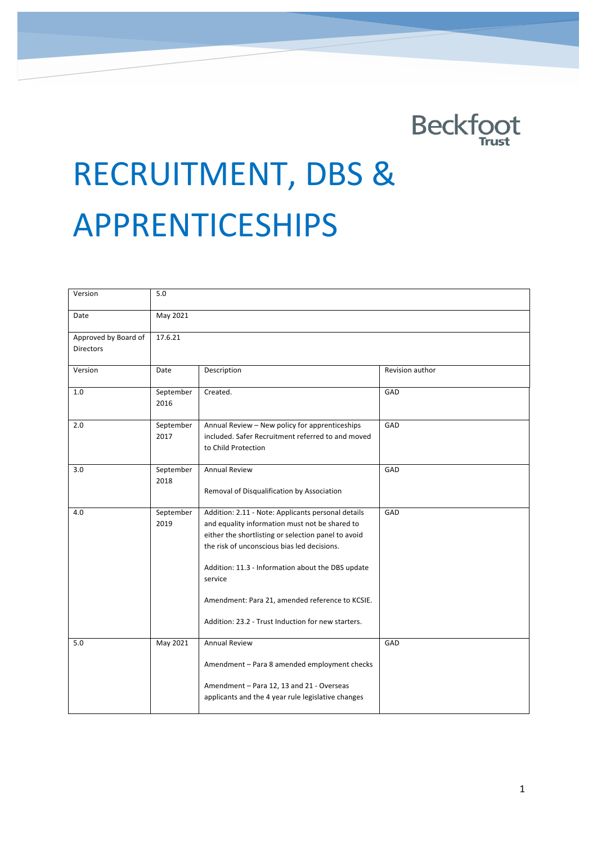# <u>in the contract of the contract of the contract of the contract of the contract of the contract of the contract of the contract of the contract of the contract of the contract of the contract of the contract of the contra</u>

# RECRUITMENT, DBS & APPRENTICESHIPS

| Version                                  | 5.0               |                                                                                                                                                                                                                                                                                                                                                                                     |                 |
|------------------------------------------|-------------------|-------------------------------------------------------------------------------------------------------------------------------------------------------------------------------------------------------------------------------------------------------------------------------------------------------------------------------------------------------------------------------------|-----------------|
| Date                                     | May 2021          |                                                                                                                                                                                                                                                                                                                                                                                     |                 |
| Approved by Board of<br><b>Directors</b> | 17.6.21           |                                                                                                                                                                                                                                                                                                                                                                                     |                 |
| Version                                  | Date              | Description                                                                                                                                                                                                                                                                                                                                                                         | Revision author |
| 1.0                                      | September<br>2016 | Created.                                                                                                                                                                                                                                                                                                                                                                            | GAD             |
| 2.0                                      | September<br>2017 | Annual Review - New policy for apprenticeships<br>included. Safer Recruitment referred to and moved<br>to Child Protection                                                                                                                                                                                                                                                          | GAD             |
| 3.0                                      | September<br>2018 | <b>Annual Review</b><br>Removal of Disqualification by Association                                                                                                                                                                                                                                                                                                                  | GAD             |
| 4.0                                      | September<br>2019 | Addition: 2.11 - Note: Applicants personal details<br>and equality information must not be shared to<br>either the shortlisting or selection panel to avoid<br>the risk of unconscious bias led decisions.<br>Addition: 11.3 - Information about the DBS update<br>service<br>Amendment: Para 21, amended reference to KCSIE.<br>Addition: 23.2 - Trust Induction for new starters. | GAD             |
| 5.0                                      | May 2021          | <b>Annual Review</b><br>Amendment - Para 8 amended employment checks<br>Amendment - Para 12, 13 and 21 - Overseas<br>applicants and the 4 year rule legislative changes                                                                                                                                                                                                             | GAD             |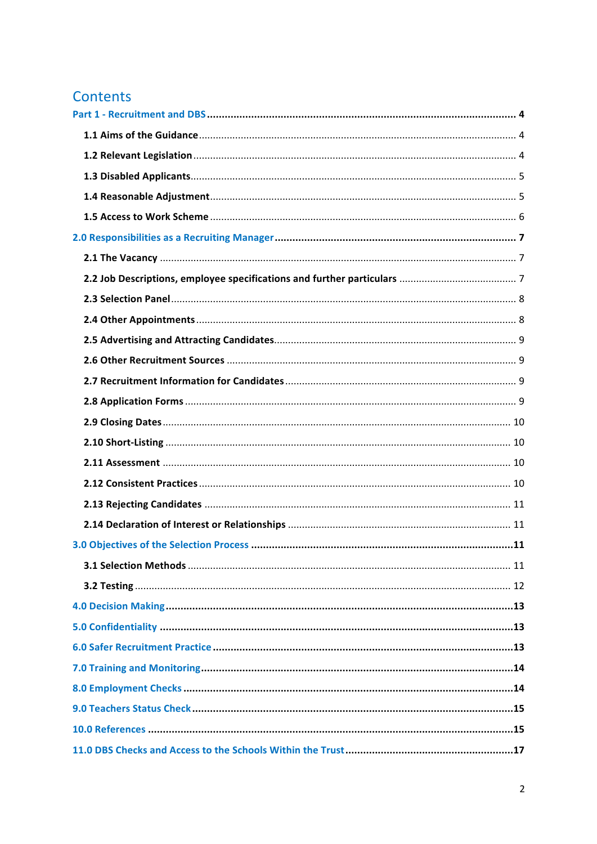### Contents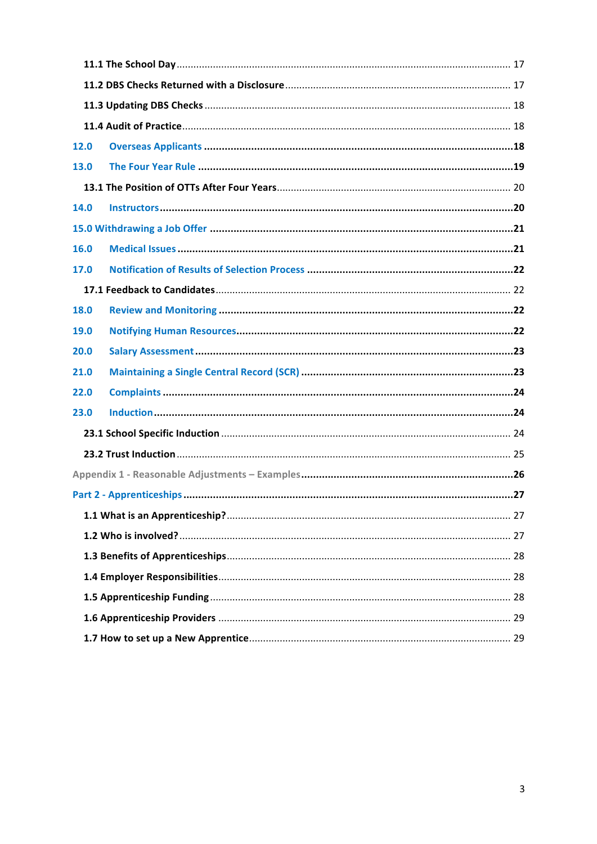| <b>12.0</b> |  |  |
|-------------|--|--|
| 13.0        |  |  |
|             |  |  |
| 14.0        |  |  |
|             |  |  |
| 16.0        |  |  |
| 17.0        |  |  |
|             |  |  |
| 18.0        |  |  |
| <b>19.0</b> |  |  |
| 20.0        |  |  |
| 21.0        |  |  |
| 22.0        |  |  |
| 23.0        |  |  |
|             |  |  |
|             |  |  |
|             |  |  |
|             |  |  |
|             |  |  |
|             |  |  |
|             |  |  |
|             |  |  |
|             |  |  |
|             |  |  |
|             |  |  |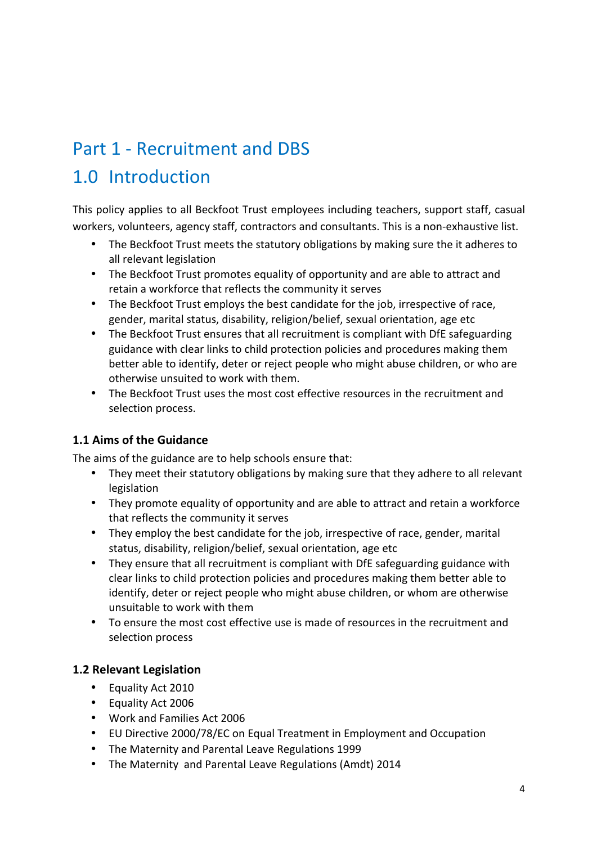# Part 1 - Recruitment and DBS 1.0 Introduction

This policy applies to all Beckfoot Trust employees including teachers, support staff, casual workers, volunteers, agency staff, contractors and consultants. This is a non-exhaustive list.

- The Beckfoot Trust meets the statutory obligations by making sure the it adheres to all relevant legislation
- The Beckfoot Trust promotes equality of opportunity and are able to attract and retain a workforce that reflects the community it serves
- The Beckfoot Trust employs the best candidate for the job, irrespective of race, gender, marital status, disability, religion/belief, sexual orientation, age etc
- The Beckfoot Trust ensures that all recruitment is compliant with DfE safeguarding guidance with clear links to child protection policies and procedures making them better able to identify, deter or reject people who might abuse children, or who are otherwise unsuited to work with them.
- The Beckfoot Trust uses the most cost effective resources in the recruitment and selection process.

### **1.1 Aims of the Guidance**

The aims of the guidance are to help schools ensure that:

- They meet their statutory obligations by making sure that they adhere to all relevant legislation
- They promote equality of opportunity and are able to attract and retain a workforce that reflects the community it serves
- They employ the best candidate for the job, irrespective of race, gender, marital status, disability, religion/belief, sexual orientation, age etc
- They ensure that all recruitment is compliant with DfE safeguarding guidance with clear links to child protection policies and procedures making them better able to identify, deter or reject people who might abuse children, or whom are otherwise unsuitable to work with them
- To ensure the most cost effective use is made of resources in the recruitment and selection process

### **1.2 Relevant Legislation**

- Equality Act 2010
- Equality Act 2006
- Work and Families Act 2006
- EU Directive 2000/78/EC on Equal Treatment in Employment and Occupation
- The Maternity and Parental Leave Regulations 1999
- The Maternity and Parental Leave Regulations (Amdt) 2014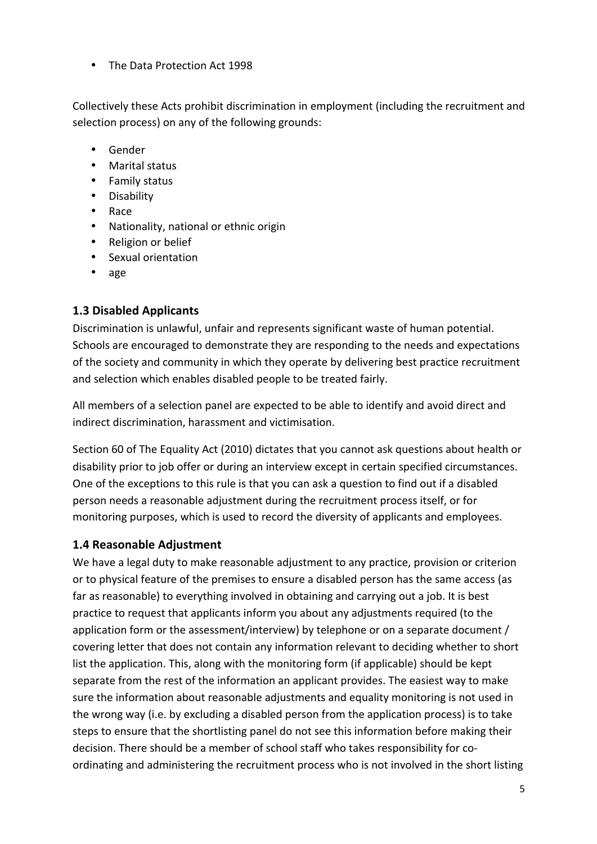• The Data Protection Act 1998

Collectively these Acts prohibit discrimination in employment (including the recruitment and selection process) on any of the following grounds:

- Gender
- Marital status
- Family status
- Disability
- Race
- Nationality, national or ethnic origin
- Religion or belief
- Sexual orientation
- age

### **1.3 Disabled Applicants**

Discrimination is unlawful, unfair and represents significant waste of human potential. Schools are encouraged to demonstrate they are responding to the needs and expectations of the society and community in which they operate by delivering best practice recruitment and selection which enables disabled people to be treated fairly.

All members of a selection panel are expected to be able to identify and avoid direct and indirect discrimination, harassment and victimisation.

Section 60 of The Equality Act (2010) dictates that you cannot ask questions about health or disability prior to job offer or during an interview except in certain specified circumstances. One of the exceptions to this rule is that you can ask a question to find out if a disabled person needs a reasonable adjustment during the recruitment process itself, or for monitoring purposes, which is used to record the diversity of applicants and employees.

### **1.4 Reasonable Adjustment**

We have a legal duty to make reasonable adjustment to any practice, provision or criterion or to physical feature of the premises to ensure a disabled person has the same access (as far as reasonable) to everything involved in obtaining and carrying out a job. It is best practice to request that applicants inform you about any adjustments required (to the application form or the assessment/interview) by telephone or on a separate document / covering letter that does not contain any information relevant to deciding whether to short list the application. This, along with the monitoring form (if applicable) should be kept separate from the rest of the information an applicant provides. The easiest way to make sure the information about reasonable adjustments and equality monitoring is not used in the wrong way (i.e. by excluding a disabled person from the application process) is to take steps to ensure that the shortlisting panel do not see this information before making their decision. There should be a member of school staff who takes responsibility for coordinating and administering the recruitment process who is not involved in the short listing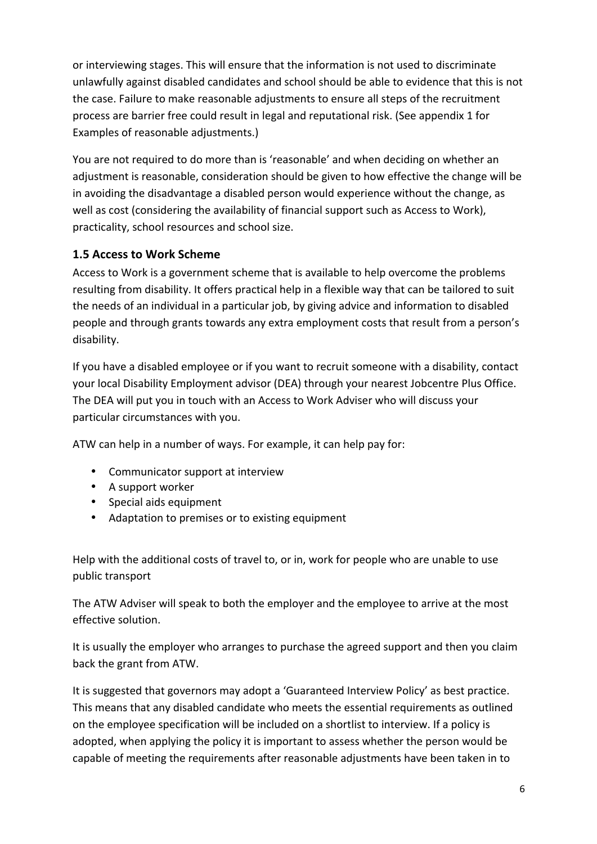or interviewing stages. This will ensure that the information is not used to discriminate unlawfully against disabled candidates and school should be able to evidence that this is not the case. Failure to make reasonable adjustments to ensure all steps of the recruitment process are barrier free could result in legal and reputational risk. (See appendix 1 for Examples of reasonable adjustments.)

You are not required to do more than is 'reasonable' and when deciding on whether an adjustment is reasonable, consideration should be given to how effective the change will be in avoiding the disadvantage a disabled person would experience without the change, as well as cost (considering the availability of financial support such as Access to Work), practicality, school resources and school size.

### **1.5 Access to Work Scheme**

Access to Work is a government scheme that is available to help overcome the problems resulting from disability. It offers practical help in a flexible way that can be tailored to suit the needs of an individual in a particular job, by giving advice and information to disabled people and through grants towards any extra employment costs that result from a person's disability.

If you have a disabled employee or if you want to recruit someone with a disability, contact your local Disability Employment advisor (DEA) through your nearest Jobcentre Plus Office. The DEA will put you in touch with an Access to Work Adviser who will discuss your particular circumstances with you.

ATW can help in a number of ways. For example, it can help pay for:

- Communicator support at interview
- A support worker
- Special aids equipment
- Adaptation to premises or to existing equipment

Help with the additional costs of travel to, or in, work for people who are unable to use public transport

The ATW Adviser will speak to both the employer and the employee to arrive at the most effective solution.

It is usually the employer who arranges to purchase the agreed support and then you claim back the grant from ATW.

It is suggested that governors may adopt a 'Guaranteed Interview Policy' as best practice. This means that any disabled candidate who meets the essential requirements as outlined on the employee specification will be included on a shortlist to interview. If a policy is adopted, when applying the policy it is important to assess whether the person would be capable of meeting the requirements after reasonable adjustments have been taken in to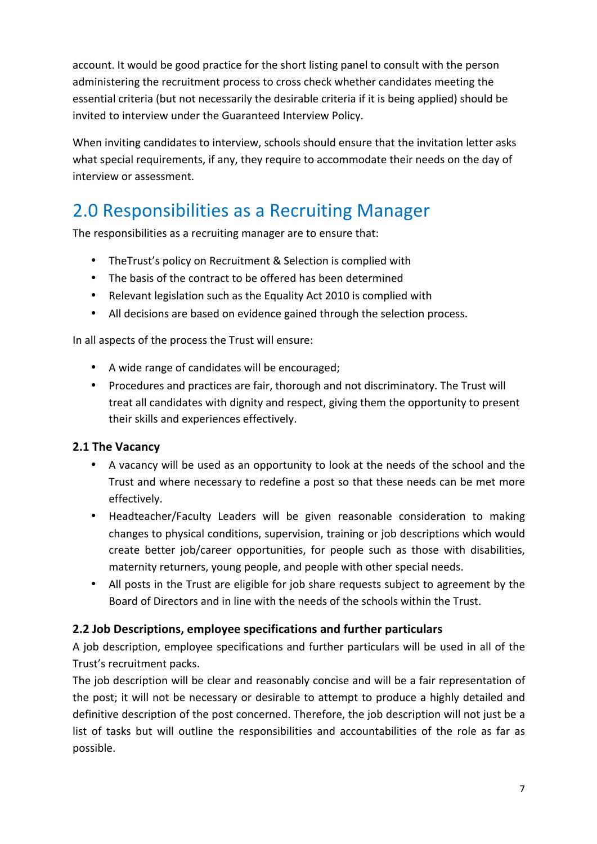account. It would be good practice for the short listing panel to consult with the person administering the recruitment process to cross check whether candidates meeting the essential criteria (but not necessarily the desirable criteria if it is being applied) should be invited to interview under the Guaranteed Interview Policy.

When inviting candidates to interview, schools should ensure that the invitation letter asks what special requirements, if any, they require to accommodate their needs on the day of interview or assessment.

# 2.0 Responsibilities as a Recruiting Manager

The responsibilities as a recruiting manager are to ensure that:

- The Trust's policy on Recruitment & Selection is complied with
- The basis of the contract to be offered has been determined
- Relevant legislation such as the Equality Act 2010 is complied with
- All decisions are based on evidence gained through the selection process.

In all aspects of the process the Trust will ensure:

- A wide range of candidates will be encouraged;
- Procedures and practices are fair, thorough and not discriminatory. The Trust will treat all candidates with dignity and respect, giving them the opportunity to present their skills and experiences effectively.

### **2.1 The Vacancy**

- A vacancy will be used as an opportunity to look at the needs of the school and the Trust and where necessary to redefine a post so that these needs can be met more effectively.
- Headteacher/Faculty Leaders will be given reasonable consideration to making changes to physical conditions, supervision, training or job descriptions which would create better job/career opportunities, for people such as those with disabilities, maternity returners, young people, and people with other special needs.
- All posts in the Trust are eligible for job share requests subject to agreement by the Board of Directors and in line with the needs of the schools within the Trust.

### **2.2 Job Descriptions, employee specifications and further particulars**

A job description, employee specifications and further particulars will be used in all of the Trust's recruitment packs.

The job description will be clear and reasonably concise and will be a fair representation of the post; it will not be necessary or desirable to attempt to produce a highly detailed and definitive description of the post concerned. Therefore, the job description will not just be a list of tasks but will outline the responsibilities and accountabilities of the role as far as possible.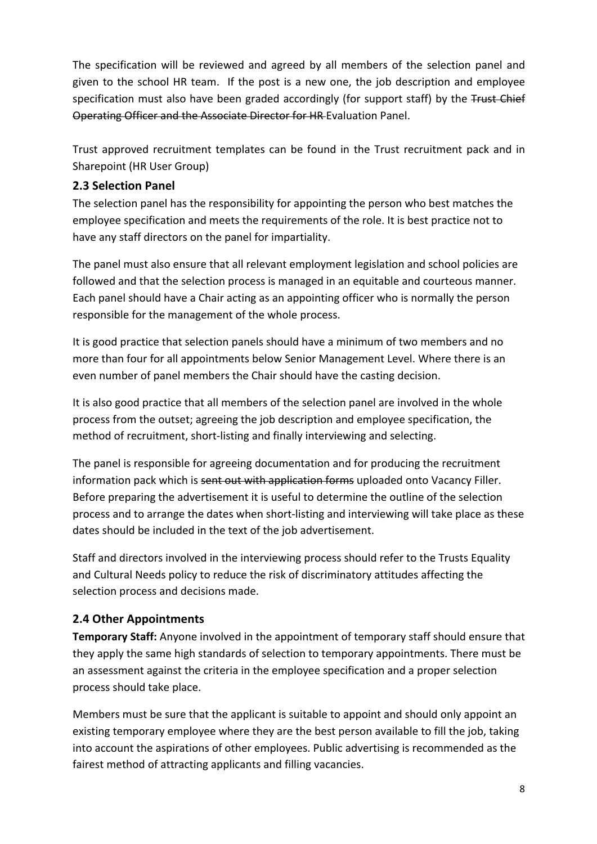The specification will be reviewed and agreed by all members of the selection panel and given to the school HR team. If the post is a new one, the job description and employee specification must also have been graded accordingly (for support staff) by the Trust Chief Operating Officer and the Associate Director for HR Evaluation Panel.

Trust approved recruitment templates can be found in the Trust recruitment pack and in Sharepoint (HR User Group)

### **2.3 Selection Panel**

The selection panel has the responsibility for appointing the person who best matches the employee specification and meets the requirements of the role. It is best practice not to have any staff directors on the panel for impartiality.

The panel must also ensure that all relevant employment legislation and school policies are followed and that the selection process is managed in an equitable and courteous manner. Each panel should have a Chair acting as an appointing officer who is normally the person responsible for the management of the whole process.

It is good practice that selection panels should have a minimum of two members and no more than four for all appointments below Senior Management Level. Where there is an even number of panel members the Chair should have the casting decision.

It is also good practice that all members of the selection panel are involved in the whole process from the outset; agreeing the job description and employee specification, the method of recruitment, short-listing and finally interviewing and selecting.

The panel is responsible for agreeing documentation and for producing the recruitment information pack which is sent out with application forms uploaded onto Vacancy Filler. Before preparing the advertisement it is useful to determine the outline of the selection process and to arrange the dates when short-listing and interviewing will take place as these dates should be included in the text of the job advertisement.

Staff and directors involved in the interviewing process should refer to the Trusts Equality and Cultural Needs policy to reduce the risk of discriminatory attitudes affecting the selection process and decisions made.

### **2.4 Other Appointments**

**Temporary Staff:** Anyone involved in the appointment of temporary staff should ensure that they apply the same high standards of selection to temporary appointments. There must be an assessment against the criteria in the employee specification and a proper selection process should take place.

Members must be sure that the applicant is suitable to appoint and should only appoint an existing temporary employee where they are the best person available to fill the job, taking into account the aspirations of other employees. Public advertising is recommended as the fairest method of attracting applicants and filling vacancies.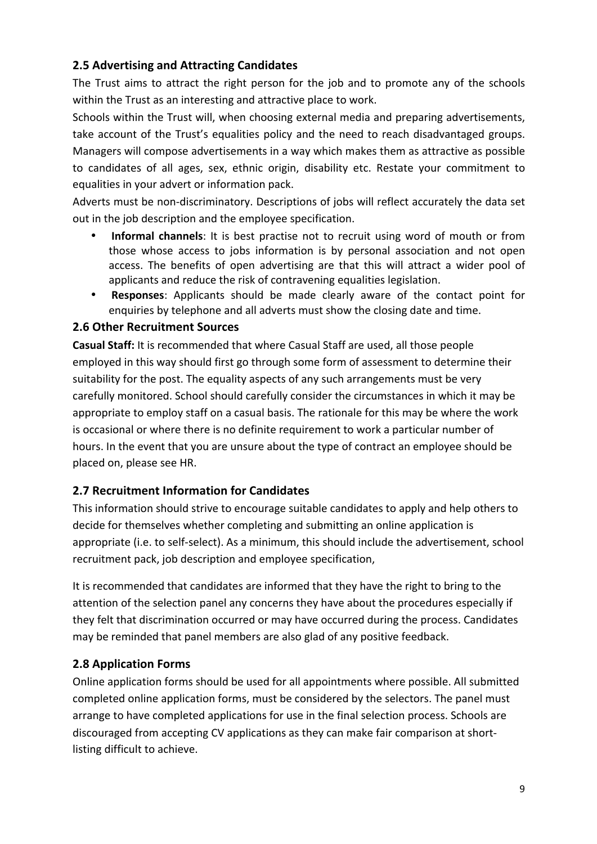### **2.5 Advertising and Attracting Candidates**

The Trust aims to attract the right person for the job and to promote any of the schools within the Trust as an interesting and attractive place to work.

Schools within the Trust will, when choosing external media and preparing advertisements, take account of the Trust's equalities policy and the need to reach disadvantaged groups. Managers will compose advertisements in a way which makes them as attractive as possible to candidates of all ages, sex, ethnic origin, disability etc. Restate your commitment to equalities in your advert or information pack.

Adverts must be non-discriminatory. Descriptions of jobs will reflect accurately the data set out in the job description and the employee specification.

- **Informal channels**: It is best practise not to recruit using word of mouth or from those whose access to jobs information is by personal association and not open access. The benefits of open advertising are that this will attract a wider pool of applicants and reduce the risk of contravening equalities legislation.
- **Responses:** Applicants should be made clearly aware of the contact point for enquiries by telephone and all adverts must show the closing date and time.

### **2.6 Other Recruitment Sources**

**Casual Staff:** It is recommended that where Casual Staff are used, all those people employed in this way should first go through some form of assessment to determine their suitability for the post. The equality aspects of any such arrangements must be very carefully monitored. School should carefully consider the circumstances in which it may be appropriate to employ staff on a casual basis. The rationale for this may be where the work is occasional or where there is no definite requirement to work a particular number of hours. In the event that you are unsure about the type of contract an employee should be placed on, please see HR.

### **2.7 Recruitment Information for Candidates**

This information should strive to encourage suitable candidates to apply and help others to decide for themselves whether completing and submitting an online application is appropriate (i.e. to self-select). As a minimum, this should include the advertisement, school recruitment pack, job description and employee specification,

It is recommended that candidates are informed that they have the right to bring to the attention of the selection panel any concerns they have about the procedures especially if they felt that discrimination occurred or may have occurred during the process. Candidates may be reminded that panel members are also glad of any positive feedback.

### **2.8 Application Forms**

Online application forms should be used for all appointments where possible. All submitted completed online application forms, must be considered by the selectors. The panel must arrange to have completed applications for use in the final selection process. Schools are discouraged from accepting CV applications as they can make fair comparison at shortlisting difficult to achieve.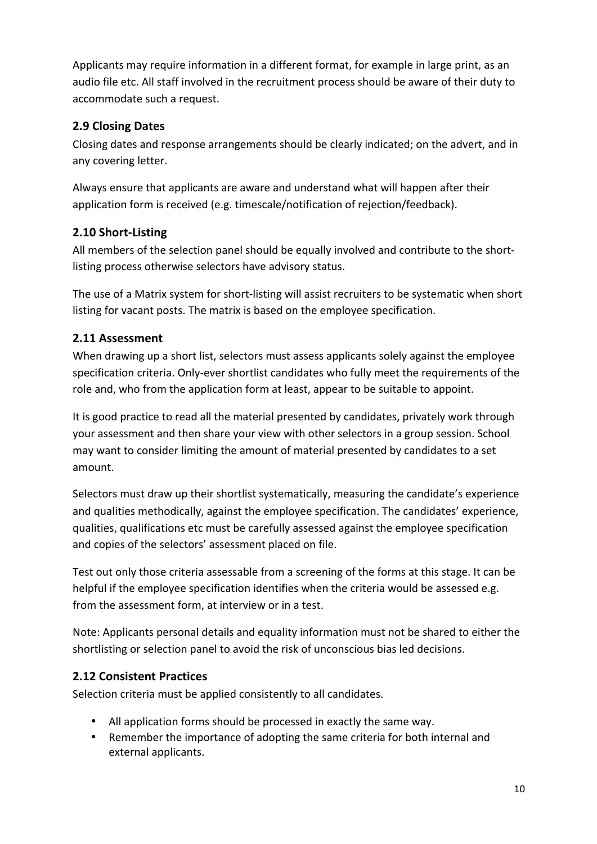Applicants may require information in a different format, for example in large print, as an audio file etc. All staff involved in the recruitment process should be aware of their duty to accommodate such a request.

### **2.9 Closing Dates**

Closing dates and response arrangements should be clearly indicated; on the advert, and in any covering letter.

Always ensure that applicants are aware and understand what will happen after their application form is received (e.g. timescale/notification of rejection/feedback).

### **2.10 Short-Listing**

All members of the selection panel should be equally involved and contribute to the shortlisting process otherwise selectors have advisory status.

The use of a Matrix system for short-listing will assist recruiters to be systematic when short listing for vacant posts. The matrix is based on the employee specification.

### **2.11 Assessment**

When drawing up a short list, selectors must assess applicants solely against the employee specification criteria. Only-ever shortlist candidates who fully meet the requirements of the role and, who from the application form at least, appear to be suitable to appoint.

It is good practice to read all the material presented by candidates, privately work through your assessment and then share your view with other selectors in a group session. School may want to consider limiting the amount of material presented by candidates to a set amount.

Selectors must draw up their shortlist systematically, measuring the candidate's experience and qualities methodically, against the employee specification. The candidates' experience, qualities, qualifications etc must be carefully assessed against the employee specification and copies of the selectors' assessment placed on file.

Test out only those criteria assessable from a screening of the forms at this stage. It can be helpful if the employee specification identifies when the criteria would be assessed e.g. from the assessment form, at interview or in a test.

Note: Applicants personal details and equality information must not be shared to either the shortlisting or selection panel to avoid the risk of unconscious bias led decisions.

### **2.12 Consistent Practices**

Selection criteria must be applied consistently to all candidates.

- All application forms should be processed in exactly the same way.
- Remember the importance of adopting the same criteria for both internal and external applicants.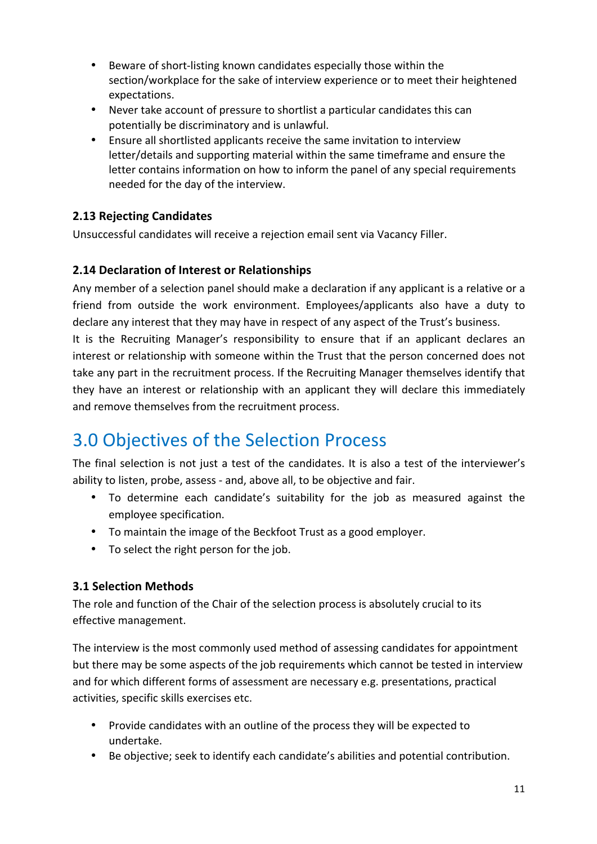- Beware of short-listing known candidates especially those within the section/workplace for the sake of interview experience or to meet their heightened expectations.
- Never take account of pressure to shortlist a particular candidates this can potentially be discriminatory and is unlawful.
- Ensure all shortlisted applicants receive the same invitation to interview letter/details and supporting material within the same timeframe and ensure the letter contains information on how to inform the panel of any special requirements needed for the day of the interview.

### **2.13 Rejecting Candidates**

Unsuccessful candidates will receive a rejection email sent via Vacancy Filler.

### **2.14 Declaration of Interest or Relationships**

Any member of a selection panel should make a declaration if any applicant is a relative or a friend from outside the work environment. Employees/applicants also have a duty to declare any interest that they may have in respect of any aspect of the Trust's business. It is the Recruiting Manager's responsibility to ensure that if an applicant declares an interest or relationship with someone within the Trust that the person concerned does not take any part in the recruitment process. If the Recruiting Manager themselves identify that

they have an interest or relationship with an applicant they will declare this immediately and remove themselves from the recruitment process.

### 3.0 Objectives of the Selection Process

The final selection is not just a test of the candidates. It is also a test of the interviewer's ability to listen, probe, assess - and, above all, to be objective and fair.

- To determine each candidate's suitability for the job as measured against the employee specification.
- To maintain the image of the Beckfoot Trust as a good employer.
- To select the right person for the job.

### **3.1 Selection Methods**

The role and function of the Chair of the selection process is absolutely crucial to its effective management.

The interview is the most commonly used method of assessing candidates for appointment but there may be some aspects of the job requirements which cannot be tested in interview and for which different forms of assessment are necessary e.g. presentations, practical activities, specific skills exercises etc.

- Provide candidates with an outline of the process they will be expected to undertake.
- Be objective; seek to identify each candidate's abilities and potential contribution.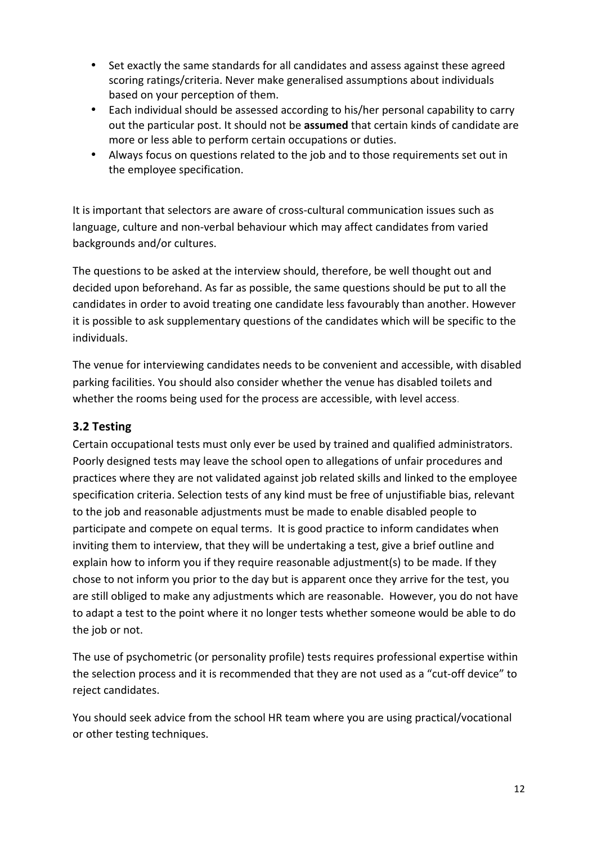- Set exactly the same standards for all candidates and assess against these agreed scoring ratings/criteria. Never make generalised assumptions about individuals based on your perception of them.
- Each individual should be assessed according to his/her personal capability to carry out the particular post. It should not be assumed that certain kinds of candidate are more or less able to perform certain occupations or duties.
- Always focus on questions related to the job and to those requirements set out in the employee specification.

It is important that selectors are aware of cross-cultural communication issues such as language, culture and non-verbal behaviour which may affect candidates from varied backgrounds and/or cultures.

The questions to be asked at the interview should, therefore, be well thought out and decided upon beforehand. As far as possible, the same questions should be put to all the candidates in order to avoid treating one candidate less favourably than another. However it is possible to ask supplementary questions of the candidates which will be specific to the individuals. 

The venue for interviewing candidates needs to be convenient and accessible, with disabled parking facilities. You should also consider whether the venue has disabled toilets and whether the rooms being used for the process are accessible, with level access.

### **3.2 Testing**

Certain occupational tests must only ever be used by trained and qualified administrators. Poorly designed tests may leave the school open to allegations of unfair procedures and practices where they are not validated against job related skills and linked to the employee specification criteria. Selection tests of any kind must be free of unjustifiable bias, relevant to the job and reasonable adjustments must be made to enable disabled people to participate and compete on equal terms. It is good practice to inform candidates when inviting them to interview, that they will be undertaking a test, give a brief outline and explain how to inform you if they require reasonable adjustment(s) to be made. If they chose to not inform you prior to the day but is apparent once they arrive for the test, you are still obliged to make any adjustments which are reasonable. However, you do not have to adapt a test to the point where it no longer tests whether someone would be able to do the job or not.

The use of psychometric (or personality profile) tests requires professional expertise within the selection process and it is recommended that they are not used as a "cut-off device" to reject candidates.

You should seek advice from the school HR team where you are using practical/vocational or other testing techniques.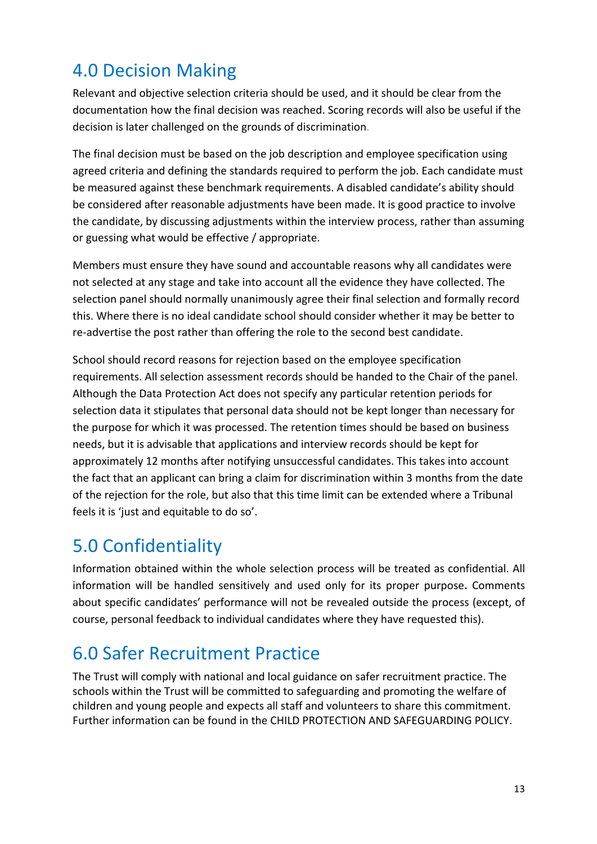# 4.0 Decision Making

Relevant and objective selection criteria should be used, and it should be clear from the documentation how the final decision was reached. Scoring records will also be useful if the decision is later challenged on the grounds of discrimination.

The final decision must be based on the job description and employee specification using agreed criteria and defining the standards required to perform the job. Each candidate must be measured against these benchmark requirements. A disabled candidate's ability should be considered after reasonable adjustments have been made. It is good practice to involve the candidate, by discussing adjustments within the interview process, rather than assuming or guessing what would be effective / appropriate.

Members must ensure they have sound and accountable reasons why all candidates were not selected at any stage and take into account all the evidence they have collected. The selection panel should normally unanimously agree their final selection and formally record this. Where there is no ideal candidate school should consider whether it may be better to re-advertise the post rather than offering the role to the second best candidate.

School should record reasons for rejection based on the employee specification requirements. All selection assessment records should be handed to the Chair of the panel. Although the Data Protection Act does not specify any particular retention periods for selection data it stipulates that personal data should not be kept longer than necessary for the purpose for which it was processed. The retention times should be based on business needs, but it is advisable that applications and interview records should be kept for approximately 12 months after notifying unsuccessful candidates. This takes into account the fact that an applicant can bring a claim for discrimination within 3 months from the date of the rejection for the role, but also that this time limit can be extended where a Tribunal feels it is 'just and equitable to do so'.

# 5.0 Confidentiality

Information obtained within the whole selection process will be treated as confidential. All information will be handled sensitively and used only for its proper purpose. Comments about specific candidates' performance will not be revealed outside the process (except, of course, personal feedback to individual candidates where they have requested this).

# 6.0 Safer Recruitment Practice

The Trust will comply with national and local guidance on safer recruitment practice. The schools within the Trust will be committed to safeguarding and promoting the welfare of children and young people and expects all staff and volunteers to share this commitment. Further information can be found in the CHILD PROTECTION AND SAFEGUARDING POLICY.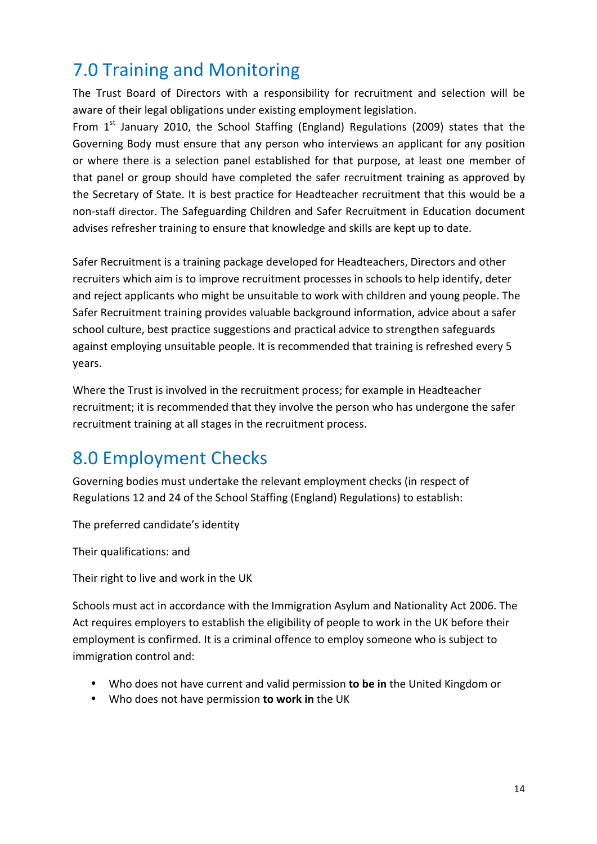# 7.0 Training and Monitoring

The Trust Board of Directors with a responsibility for recruitment and selection will be aware of their legal obligations under existing employment legislation.

From  $1^{st}$  January 2010, the School Staffing (England) Regulations (2009) states that the Governing Body must ensure that any person who interviews an applicant for any position or where there is a selection panel established for that purpose, at least one member of that panel or group should have completed the safer recruitment training as approved by the Secretary of State. It is best practice for Headteacher recruitment that this would be a non-staff director. The Safeguarding Children and Safer Recruitment in Education document advises refresher training to ensure that knowledge and skills are kept up to date.

Safer Recruitment is a training package developed for Headteachers, Directors and other recruiters which aim is to improve recruitment processes in schools to help identify, deter and reject applicants who might be unsuitable to work with children and young people. The Safer Recruitment training provides valuable background information, advice about a safer school culture, best practice suggestions and practical advice to strengthen safeguards against employing unsuitable people. It is recommended that training is refreshed every 5 years. 

Where the Trust is involved in the recruitment process; for example in Headteacher recruitment; it is recommended that they involve the person who has undergone the safer recruitment training at all stages in the recruitment process.

# 8.0 Employment Checks

Governing bodies must undertake the relevant employment checks (in respect of Regulations 12 and 24 of the School Staffing (England) Regulations) to establish:

The preferred candidate's identity

Their qualifications: and

Their right to live and work in the UK

Schools must act in accordance with the Immigration Asylum and Nationality Act 2006. The Act requires employers to establish the eligibility of people to work in the UK before their employment is confirmed. It is a criminal offence to employ someone who is subject to immigration control and:

- Who does not have current and valid permission **to be in** the United Kingdom or
- Who does not have permission **to work in** the UK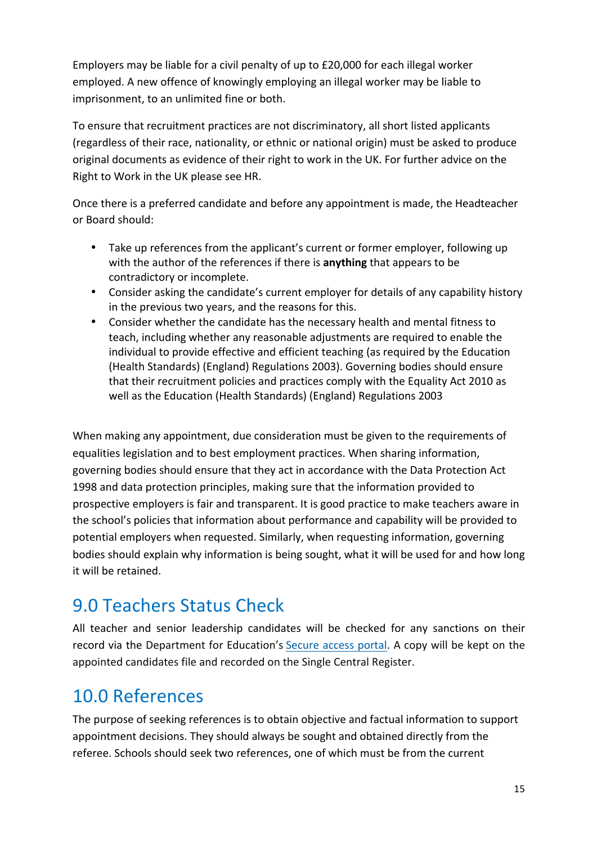Employers may be liable for a civil penalty of up to £20,000 for each illegal worker employed. A new offence of knowingly employing an illegal worker may be liable to imprisonment, to an unlimited fine or both.

To ensure that recruitment practices are not discriminatory, all short listed applicants (regardless of their race, nationality, or ethnic or national origin) must be asked to produce original documents as evidence of their right to work in the UK. For further advice on the Right to Work in the UK please see HR.

Once there is a preferred candidate and before any appointment is made, the Headteacher or Board should: 

- Take up references from the applicant's current or former employer, following up with the author of the references if there is **anything** that appears to be contradictory or incomplete.
- Consider asking the candidate's current employer for details of any capability history in the previous two years, and the reasons for this.
- Consider whether the candidate has the necessary health and mental fitness to teach, including whether any reasonable adjustments are required to enable the individual to provide effective and efficient teaching (as required by the Education (Health Standards) (England) Regulations 2003). Governing bodies should ensure that their recruitment policies and practices comply with the Equality Act 2010 as well as the Education (Health Standards) (England) Regulations 2003

When making any appointment, due consideration must be given to the requirements of equalities legislation and to best employment practices. When sharing information, governing bodies should ensure that they act in accordance with the Data Protection Act 1998 and data protection principles, making sure that the information provided to prospective employers is fair and transparent. It is good practice to make teachers aware in the school's policies that information about performance and capability will be provided to potential employers when requested. Similarly, when requesting information, governing bodies should explain why information is being sought, what it will be used for and how long it will be retained.

# 9.0 Teachers Status Check

All teacher and senior leadership candidates will be checked for any sanctions on their record via the Department for Education's Secure access portal. A copy will be kept on the appointed candidates file and recorded on the Single Central Register.

### 10.0 References

The purpose of seeking references is to obtain objective and factual information to support appointment decisions. They should always be sought and obtained directly from the referee. Schools should seek two references, one of which must be from the current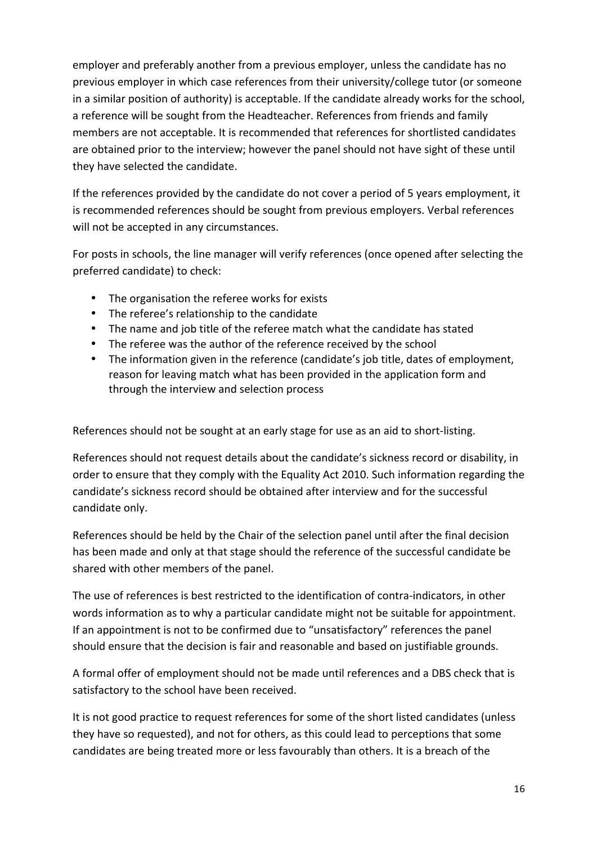employer and preferably another from a previous employer, unless the candidate has no previous employer in which case references from their university/college tutor (or someone in a similar position of authority) is acceptable. If the candidate already works for the school, a reference will be sought from the Headteacher. References from friends and family members are not acceptable. It is recommended that references for shortlisted candidates are obtained prior to the interview; however the panel should not have sight of these until they have selected the candidate.

If the references provided by the candidate do not cover a period of 5 years employment, it is recommended references should be sought from previous employers. Verbal references will not be accepted in any circumstances.

For posts in schools, the line manager will verify references (once opened after selecting the preferred candidate) to check:

- The organisation the referee works for exists
- The referee's relationship to the candidate
- The name and job title of the referee match what the candidate has stated
- The referee was the author of the reference received by the school
- The information given in the reference (candidate's job title, dates of employment, reason for leaving match what has been provided in the application form and through the interview and selection process

References should not be sought at an early stage for use as an aid to short-listing.

References should not request details about the candidate's sickness record or disability, in order to ensure that they comply with the Equality Act 2010. Such information regarding the candidate's sickness record should be obtained after interview and for the successful candidate only.

References should be held by the Chair of the selection panel until after the final decision has been made and only at that stage should the reference of the successful candidate be shared with other members of the panel.

The use of references is best restricted to the identification of contra-indicators, in other words information as to why a particular candidate might not be suitable for appointment. If an appointment is not to be confirmed due to "unsatisfactory" references the panel should ensure that the decision is fair and reasonable and based on justifiable grounds.

A formal offer of employment should not be made until references and a DBS check that is satisfactory to the school have been received.

It is not good practice to request references for some of the short listed candidates (unless they have so requested), and not for others, as this could lead to perceptions that some candidates are being treated more or less favourably than others. It is a breach of the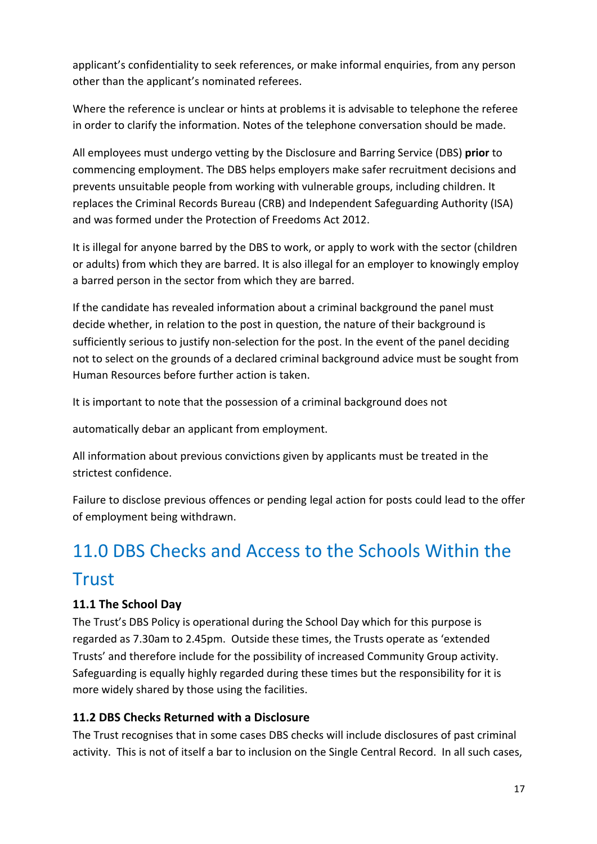applicant's confidentiality to seek references, or make informal enquiries, from any person other than the applicant's nominated referees.

Where the reference is unclear or hints at problems it is advisable to telephone the referee in order to clarify the information. Notes of the telephone conversation should be made.

All employees must undergo vetting by the Disclosure and Barring Service (DBS) **prior** to commencing employment. The DBS helps employers make safer recruitment decisions and prevents unsuitable people from working with vulnerable groups, including children. It replaces the Criminal Records Bureau (CRB) and Independent Safeguarding Authority (ISA) and was formed under the Protection of Freedoms Act 2012.

It is illegal for anyone barred by the DBS to work, or apply to work with the sector (children or adults) from which they are barred. It is also illegal for an employer to knowingly employ a barred person in the sector from which they are barred.

If the candidate has revealed information about a criminal background the panel must decide whether, in relation to the post in question, the nature of their background is sufficiently serious to justify non-selection for the post. In the event of the panel deciding not to select on the grounds of a declared criminal background advice must be sought from Human Resources before further action is taken.

It is important to note that the possession of a criminal background does not

automatically debar an applicant from employment.

All information about previous convictions given by applicants must be treated in the strictest confidence.

Failure to disclose previous offences or pending legal action for posts could lead to the offer of employment being withdrawn.

# 11.0 DBS Checks and Access to the Schools Within the **Trust**

### **11.1 The School Day**

The Trust's DBS Policy is operational during the School Day which for this purpose is regarded as 7.30am to 2.45pm. Outside these times, the Trusts operate as 'extended Trusts' and therefore include for the possibility of increased Community Group activity. Safeguarding is equally highly regarded during these times but the responsibility for it is more widely shared by those using the facilities.

### **11.2 DBS Checks Returned with a Disclosure**

The Trust recognises that in some cases DBS checks will include disclosures of past criminal activity. This is not of itself a bar to inclusion on the Single Central Record. In all such cases,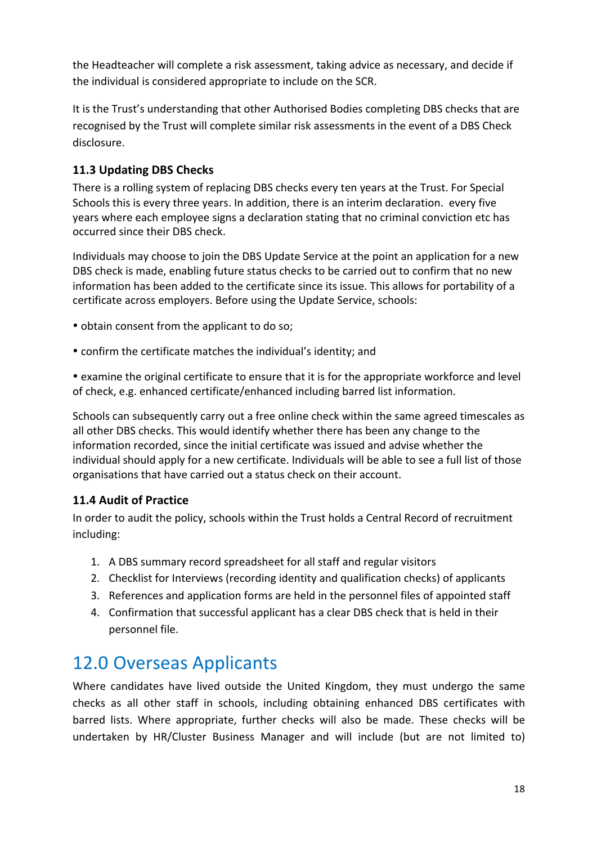the Headteacher will complete a risk assessment, taking advice as necessary, and decide if the individual is considered appropriate to include on the SCR.

It is the Trust's understanding that other Authorised Bodies completing DBS checks that are recognised by the Trust will complete similar risk assessments in the event of a DBS Check disclosure.

### **11.3 Updating DBS Checks**

There is a rolling system of replacing DBS checks every ten years at the Trust. For Special Schools this is every three years. In addition, there is an interim declaration. every five years where each employee signs a declaration stating that no criminal conviction etc has occurred since their DBS check.

Individuals may choose to join the DBS Update Service at the point an application for a new DBS check is made, enabling future status checks to be carried out to confirm that no new information has been added to the certificate since its issue. This allows for portability of a certificate across employers. Before using the Update Service, schools:

- obtain consent from the applicant to do so;
- confirm the certificate matches the individual's identity; and

• examine the original certificate to ensure that it is for the appropriate workforce and level of check, e.g. enhanced certificate/enhanced including barred list information.

Schools can subsequently carry out a free online check within the same agreed timescales as all other DBS checks. This would identify whether there has been any change to the information recorded, since the initial certificate was issued and advise whether the individual should apply for a new certificate. Individuals will be able to see a full list of those organisations that have carried out a status check on their account.

### **11.4 Audit of Practice**

In order to audit the policy, schools within the Trust holds a Central Record of recruitment including:

- 1. A DBS summary record spreadsheet for all staff and regular visitors
- 2. Checklist for Interviews (recording identity and qualification checks) of applicants
- 3. References and application forms are held in the personnel files of appointed staff
- 4. Confirmation that successful applicant has a clear DBS check that is held in their personnel file.

### 12.0 Overseas Applicants

Where candidates have lived outside the United Kingdom, they must undergo the same checks as all other staff in schools, including obtaining enhanced DBS certificates with barred lists. Where appropriate, further checks will also be made. These checks will be undertaken by HR/Cluster Business Manager and will include (but are not limited to)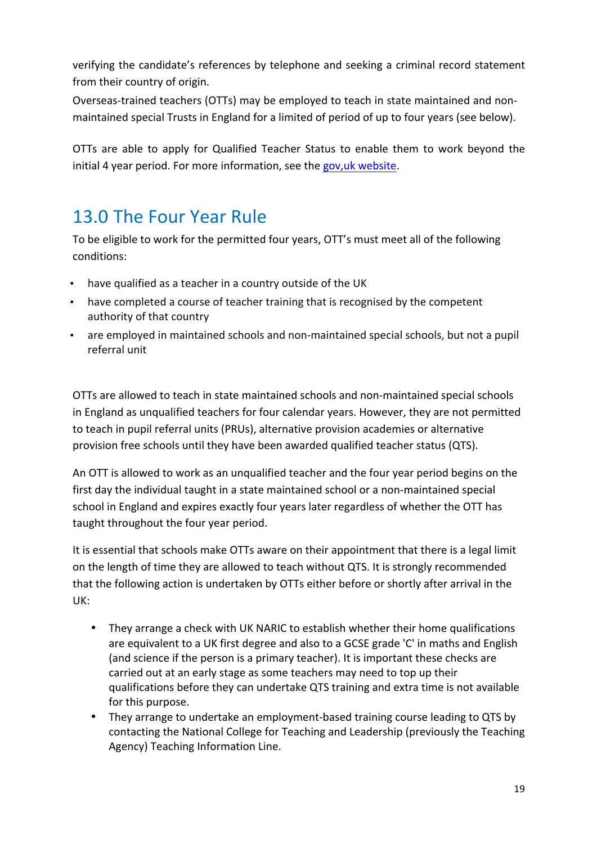verifying the candidate's references by telephone and seeking a criminal record statement from their country of origin.

Overseas-trained teachers (OTTs) may be employed to teach in state maintained and nonmaintained special Trusts in England for a limited of period of up to four years (see below).

OTTs are able to apply for Qualified Teacher Status to enable them to work beyond the initial 4 year period. For more information, see the gov,uk website.

### 13.0 The Four Year Rule

To be eligible to work for the permitted four years, OTT's must meet all of the following conditions:

- have qualified as a teacher in a country outside of the UK
- have completed a course of teacher training that is recognised by the competent authority of that country
- are employed in maintained schools and non-maintained special schools, but not a pupil referral unit

OTTs are allowed to teach in state maintained schools and non-maintained special schools in England as unqualified teachers for four calendar vears. However, they are not permitted to teach in pupil referral units (PRUs), alternative provision academies or alternative provision free schools until they have been awarded qualified teacher status (QTS).

An OTT is allowed to work as an unqualified teacher and the four year period begins on the first day the individual taught in a state maintained school or a non-maintained special school in England and expires exactly four years later regardless of whether the OTT has taught throughout the four year period.

It is essential that schools make OTTs aware on their appointment that there is a legal limit on the length of time they are allowed to teach without QTS. It is strongly recommended that the following action is undertaken by OTTs either before or shortly after arrival in the UK: 

- They arrange a check with UK NARIC to establish whether their home qualifications are equivalent to a UK first degree and also to a GCSE grade 'C' in maths and English (and science if the person is a primary teacher). It is important these checks are carried out at an early stage as some teachers may need to top up their qualifications before they can undertake QTS training and extra time is not available for this purpose.
- They arrange to undertake an employment-based training course leading to QTS by contacting the National College for Teaching and Leadership (previously the Teaching Agency) Teaching Information Line.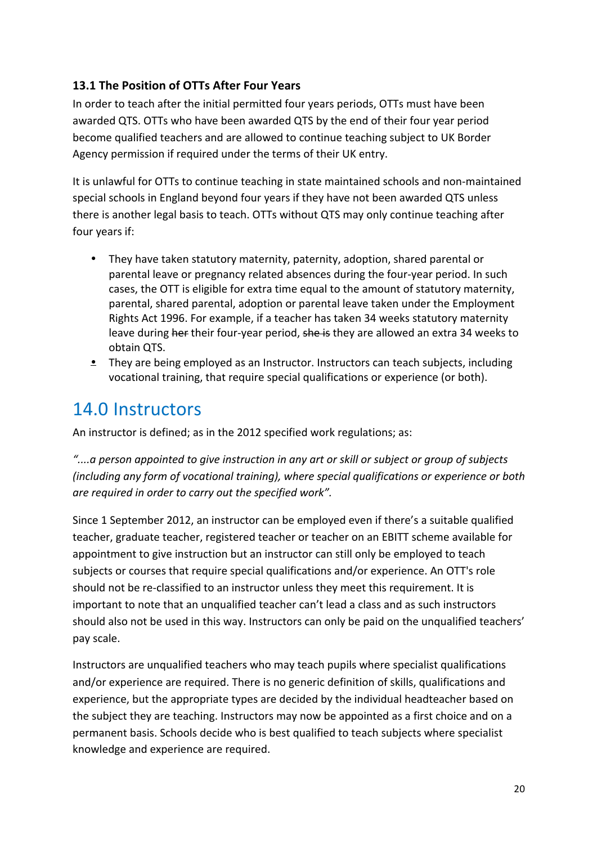### **13.1 The Position of OTTs After Four Years**

In order to teach after the initial permitted four years periods, OTTs must have been awarded QTS. OTTs who have been awarded QTS by the end of their four year period become qualified teachers and are allowed to continue teaching subject to UK Border Agency permission if required under the terms of their UK entry.

It is unlawful for OTTs to continue teaching in state maintained schools and non-maintained special schools in England beyond four years if they have not been awarded QTS unless there is another legal basis to teach. OTTs without QTS may only continue teaching after four years if:

- They have taken statutory maternity, paternity, adoption, shared parental or parental leave or pregnancy related absences during the four-year period. In such cases, the OTT is eligible for extra time equal to the amount of statutory maternity, parental, shared parental, adoption or parental leave taken under the Employment Rights Act 1996. For example, if a teacher has taken 34 weeks statutory maternity leave during her their four-year period, she is they are allowed an extra 34 weeks to obtain QTS.
- **•** They are being employed as an Instructor. Instructors can teach subjects, including vocational training, that require special qualifications or experience (or both).

### 14.0 Instructors

An instructor is defined; as in the 2012 specified work regulations; as:

"....a person appointed to give instruction in any art or skill or subject or group of subjects *(including any form of vocational training), where special qualifications or experience or both* are required in order to carry out the specified work".

Since 1 September 2012, an instructor can be employed even if there's a suitable qualified teacher, graduate teacher, registered teacher or teacher on an EBITT scheme available for appointment to give instruction but an instructor can still only be employed to teach subjects or courses that require special qualifications and/or experience. An OTT's role should not be re-classified to an instructor unless they meet this requirement. It is important to note that an unqualified teacher can't lead a class and as such instructors should also not be used in this way. Instructors can only be paid on the unqualified teachers' pay scale. 

Instructors are unqualified teachers who may teach pupils where specialist qualifications and/or experience are required. There is no generic definition of skills, qualifications and experience, but the appropriate types are decided by the individual headteacher based on the subject they are teaching. Instructors may now be appointed as a first choice and on a permanent basis. Schools decide who is best qualified to teach subjects where specialist knowledge and experience are required.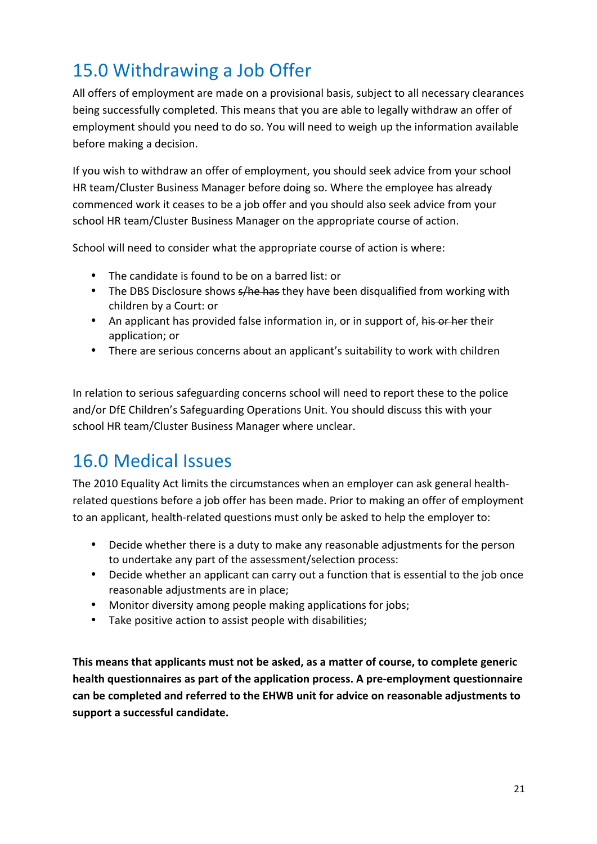# 15.0 Withdrawing a Job Offer

All offers of employment are made on a provisional basis, subject to all necessary clearances being successfully completed. This means that you are able to legally withdraw an offer of employment should you need to do so. You will need to weigh up the information available before making a decision.

If you wish to withdraw an offer of employment, you should seek advice from your school HR team/Cluster Business Manager before doing so. Where the employee has already commenced work it ceases to be a job offer and you should also seek advice from your school HR team/Cluster Business Manager on the appropriate course of action.

School will need to consider what the appropriate course of action is where:

- The candidate is found to be on a barred list: or
- The DBS Disclosure shows  $s/h$ e has they have been disqualified from working with children by a Court: or
- An applicant has provided false information in, or in support of, his or her their application; or
- There are serious concerns about an applicant's suitability to work with children

In relation to serious safeguarding concerns school will need to report these to the police and/or DfE Children's Safeguarding Operations Unit. You should discuss this with your school HR team/Cluster Business Manager where unclear.

# 16.0 Medical Issues

The 2010 Equality Act limits the circumstances when an employer can ask general healthrelated questions before a job offer has been made. Prior to making an offer of employment to an applicant, health-related questions must only be asked to help the employer to:

- Decide whether there is a duty to make any reasonable adjustments for the person to undertake any part of the assessment/selection process:
- Decide whether an applicant can carry out a function that is essential to the job once reasonable adjustments are in place;
- Monitor diversity among people making applications for jobs;
- Take positive action to assist people with disabilities;

This means that applicants must not be asked, as a matter of course, to complete generic health questionnaires as part of the application process. A pre-employment questionnaire can be completed and referred to the EHWB unit for advice on reasonable adjustments to support a successful candidate.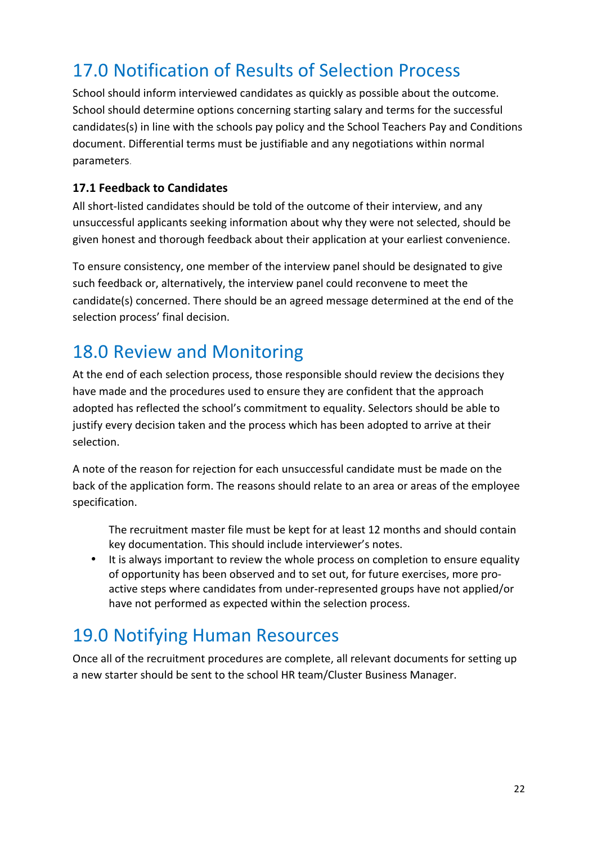# 17.0 Notification of Results of Selection Process

School should inform interviewed candidates as quickly as possible about the outcome. School should determine options concerning starting salary and terms for the successful candidates(s) in line with the schools pay policy and the School Teachers Pay and Conditions document. Differential terms must be justifiable and any negotiations within normal parameters.

### **17.1 Feedback to Candidates**

All short-listed candidates should be told of the outcome of their interview, and any unsuccessful applicants seeking information about why they were not selected, should be given honest and thorough feedback about their application at your earliest convenience.

To ensure consistency, one member of the interview panel should be designated to give such feedback or, alternatively, the interview panel could reconvene to meet the candidate(s) concerned. There should be an agreed message determined at the end of the selection process' final decision.

### 18.0 Review and Monitoring

At the end of each selection process, those responsible should review the decisions they have made and the procedures used to ensure they are confident that the approach adopted has reflected the school's commitment to equality. Selectors should be able to justify every decision taken and the process which has been adopted to arrive at their selection.

A note of the reason for rejection for each unsuccessful candidate must be made on the back of the application form. The reasons should relate to an area or areas of the employee specification.

The recruitment master file must be kept for at least 12 months and should contain key documentation. This should include interviewer's notes.

• It is always important to review the whole process on completion to ensure equality of opportunity has been observed and to set out, for future exercises, more proactive steps where candidates from under-represented groups have not applied/or have not performed as expected within the selection process.

### 19.0 Notifying Human Resources

Once all of the recruitment procedures are complete, all relevant documents for setting up a new starter should be sent to the school HR team/Cluster Business Manager.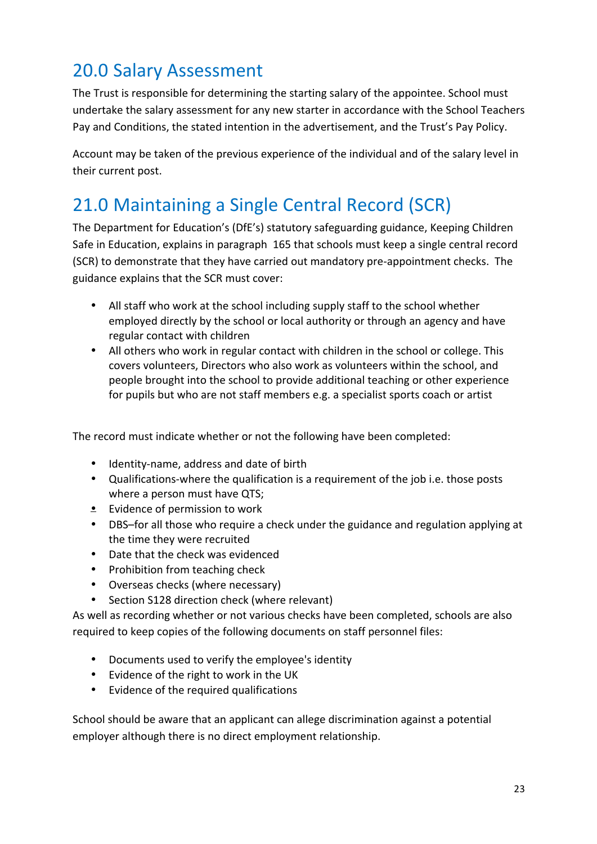# 20.0 Salary Assessment

The Trust is responsible for determining the starting salary of the appointee. School must undertake the salary assessment for any new starter in accordance with the School Teachers Pay and Conditions, the stated intention in the advertisement, and the Trust's Pay Policy.

Account may be taken of the previous experience of the individual and of the salary level in their current post.

# 21.0 Maintaining a Single Central Record (SCR)

The Department for Education's (DfE's) statutory safeguarding guidance, Keeping Children Safe in Education, explains in paragraph 165 that schools must keep a single central record (SCR) to demonstrate that they have carried out mandatory pre-appointment checks. The guidance explains that the SCR must cover:

- All staff who work at the school including supply staff to the school whether employed directly by the school or local authority or through an agency and have regular contact with children
- All others who work in regular contact with children in the school or college. This covers volunteers, Directors who also work as volunteers within the school, and people brought into the school to provide additional teaching or other experience for pupils but who are not staff members e.g. a specialist sports coach or artist

The record must indicate whether or not the following have been completed:

- Identity-name, address and date of birth
- Qualifications-where the qualification is a requirement of the job i.e. those posts where a person must have QTS;
- Evidence of permission to work
- DBS-for all those who require a check under the guidance and regulation applying at the time they were recruited
- Date that the check was evidenced
- Prohibition from teaching check
- Overseas checks (where necessary)
- Section S128 direction check (where relevant)

As well as recording whether or not various checks have been completed, schools are also required to keep copies of the following documents on staff personnel files:

- Documents used to verify the employee's identity
- Evidence of the right to work in the UK
- Evidence of the required qualifications

School should be aware that an applicant can allege discrimination against a potential employer although there is no direct employment relationship.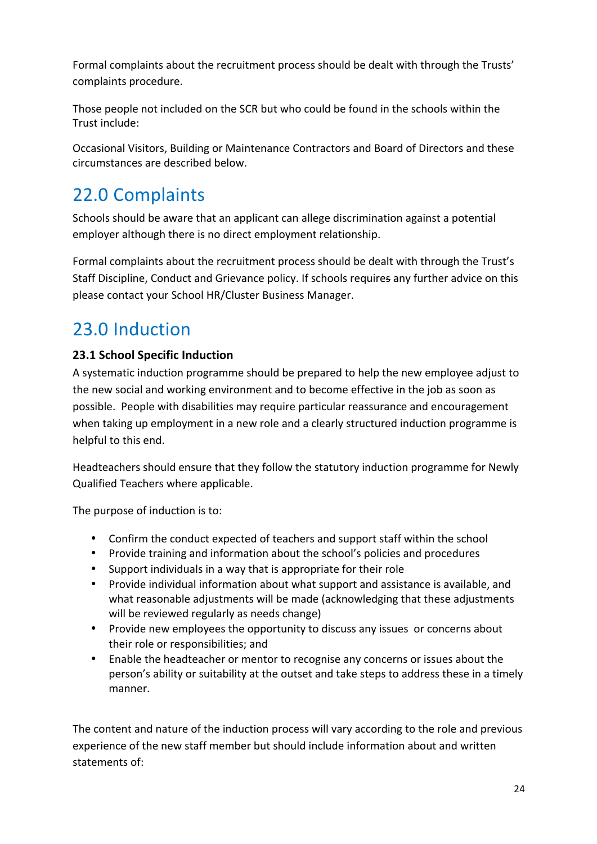Formal complaints about the recruitment process should be dealt with through the Trusts' complaints procedure.

Those people not included on the SCR but who could be found in the schools within the Trust include:

Occasional Visitors, Building or Maintenance Contractors and Board of Directors and these circumstances are described below.

# 22.0 Complaints

Schools should be aware that an applicant can allege discrimination against a potential employer although there is no direct employment relationship.

Formal complaints about the recruitment process should be dealt with through the Trust's Staff Discipline, Conduct and Grievance policy. If schools requires any further advice on this please contact your School HR/Cluster Business Manager.

# 23.0 Induction

### **23.1 School Specific Induction**

A systematic induction programme should be prepared to help the new employee adjust to the new social and working environment and to become effective in the job as soon as possible. People with disabilities may require particular reassurance and encouragement when taking up employment in a new role and a clearly structured induction programme is helpful to this end.

Headteachers should ensure that they follow the statutory induction programme for Newly Qualified Teachers where applicable.

The purpose of induction is to:

- Confirm the conduct expected of teachers and support staff within the school
- Provide training and information about the school's policies and procedures
- Support individuals in a way that is appropriate for their role
- Provide individual information about what support and assistance is available, and what reasonable adjustments will be made (acknowledging that these adjustments will be reviewed regularly as needs change)
- Provide new employees the opportunity to discuss any issues or concerns about their role or responsibilities; and
- Enable the headteacher or mentor to recognise any concerns or issues about the person's ability or suitability at the outset and take steps to address these in a timely manner.

The content and nature of the induction process will vary according to the role and previous experience of the new staff member but should include information about and written statements of: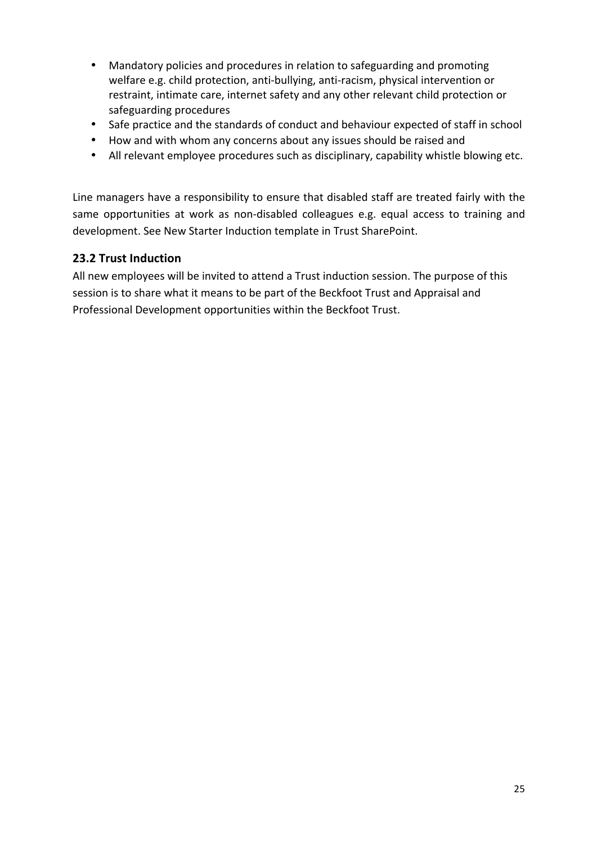- Mandatory policies and procedures in relation to safeguarding and promoting welfare e.g. child protection, anti-bullying, anti-racism, physical intervention or restraint, intimate care, internet safety and any other relevant child protection or safeguarding procedures
- Safe practice and the standards of conduct and behaviour expected of staff in school
- How and with whom any concerns about any issues should be raised and
- All relevant employee procedures such as disciplinary, capability whistle blowing etc.

Line managers have a responsibility to ensure that disabled staff are treated fairly with the same opportunities at work as non-disabled colleagues e.g. equal access to training and development. See New Starter Induction template in Trust SharePoint.

### **23.2 Trust Induction**

All new employees will be invited to attend a Trust induction session. The purpose of this session is to share what it means to be part of the Beckfoot Trust and Appraisal and Professional Development opportunities within the Beckfoot Trust.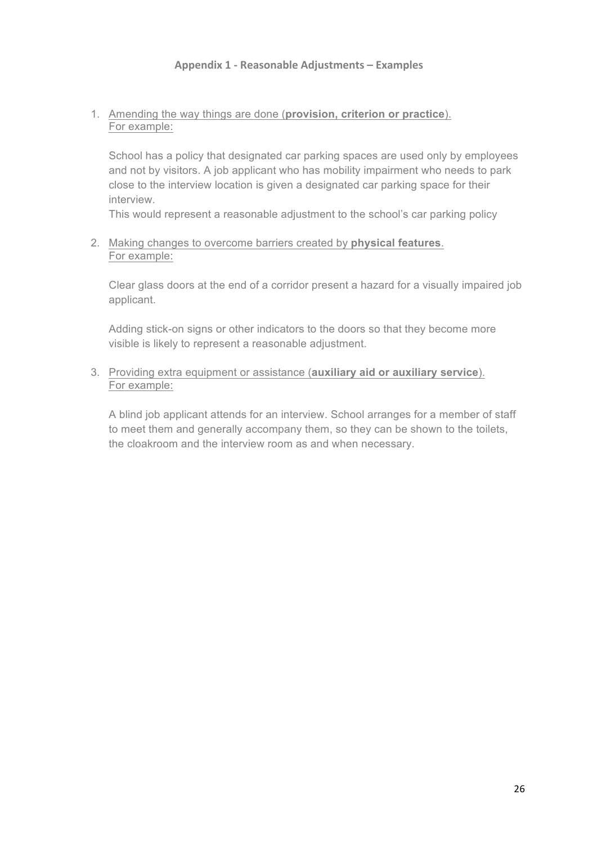1. Amending the way things are done (**provision, criterion or practice**). For example:

School has a policy that designated car parking spaces are used only by employees and not by visitors. A job applicant who has mobility impairment who needs to park close to the interview location is given a designated car parking space for their interview.

This would represent a reasonable adjustment to the school's car parking policy

2. Making changes to overcome barriers created by **physical features**. For example:

Clear glass doors at the end of a corridor present a hazard for a visually impaired job applicant.

Adding stick-on signs or other indicators to the doors so that they become more visible is likely to represent a reasonable adjustment.

3. Providing extra equipment or assistance (**auxiliary aid or auxiliary service**). For example:

A blind job applicant attends for an interview. School arranges for a member of staff to meet them and generally accompany them, so they can be shown to the toilets, the cloakroom and the interview room as and when necessary.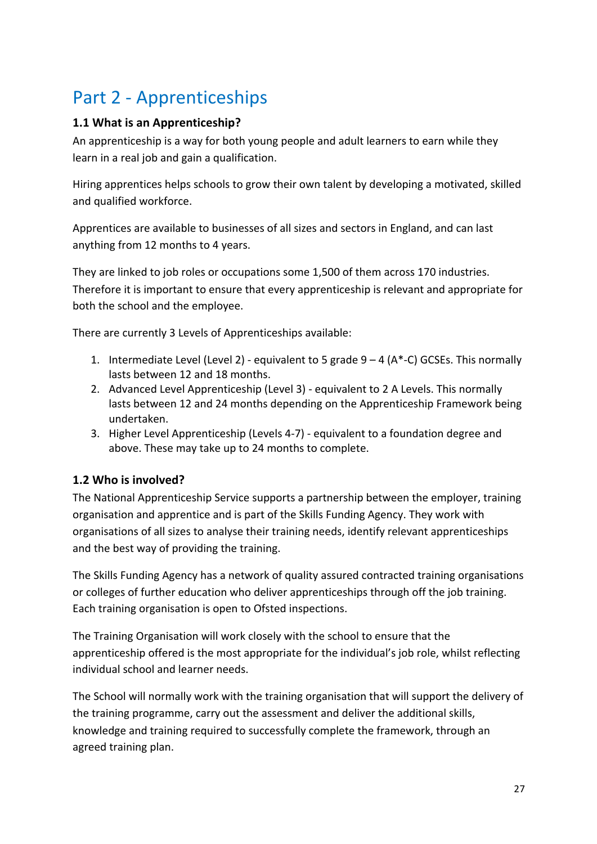# Part 2 - Apprenticeships

### **1.1 What is an Apprenticeship?**

An apprenticeship is a way for both young people and adult learners to earn while they learn in a real job and gain a qualification.

Hiring apprentices helps schools to grow their own talent by developing a motivated, skilled and qualified workforce.

Apprentices are available to businesses of all sizes and sectors in England, and can last anything from 12 months to 4 years.

They are linked to job roles or occupations some 1,500 of them across 170 industries. Therefore it is important to ensure that every apprenticeship is relevant and appropriate for both the school and the employee.

There are currently 3 Levels of Apprenticeships available:

- 1. Intermediate Level (Level 2) equivalent to 5 grade  $9 4$  (A\*-C) GCSEs. This normally lasts between 12 and 18 months.
- 2. Advanced Level Apprenticeship (Level 3) equivalent to 2 A Levels. This normally lasts between 12 and 24 months depending on the Apprenticeship Framework being undertaken.
- 3. Higher Level Apprenticeship (Levels 4-7) equivalent to a foundation degree and above. These may take up to 24 months to complete.

### **1.2 Who is involved?**

The National Apprenticeship Service supports a partnership between the employer, training organisation and apprentice and is part of the Skills Funding Agency. They work with organisations of all sizes to analyse their training needs, identify relevant apprenticeships and the best way of providing the training.

The Skills Funding Agency has a network of quality assured contracted training organisations or colleges of further education who deliver apprenticeships through off the job training. Each training organisation is open to Ofsted inspections.

The Training Organisation will work closely with the school to ensure that the apprenticeship offered is the most appropriate for the individual's job role, whilst reflecting individual school and learner needs.

The School will normally work with the training organisation that will support the delivery of the training programme, carry out the assessment and deliver the additional skills, knowledge and training required to successfully complete the framework, through an agreed training plan.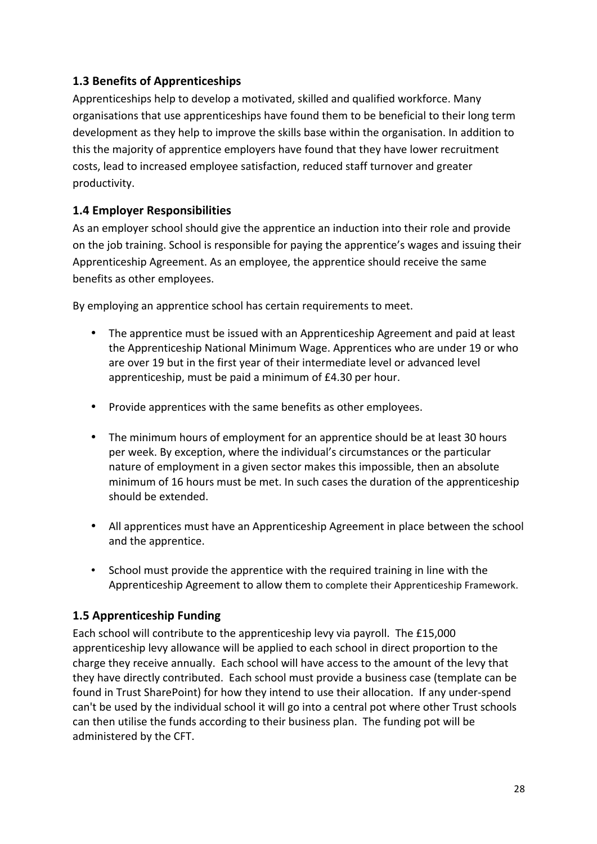### **1.3 Benefits of Apprenticeships**

Apprenticeships help to develop a motivated, skilled and qualified workforce. Many organisations that use apprenticeships have found them to be beneficial to their long term development as they help to improve the skills base within the organisation. In addition to this the majority of apprentice employers have found that they have lower recruitment costs, lead to increased employee satisfaction, reduced staff turnover and greater productivity.

### **1.4 Employer Responsibilities**

As an employer school should give the apprentice an induction into their role and provide on the job training. School is responsible for paying the apprentice's wages and issuing their Apprenticeship Agreement. As an employee, the apprentice should receive the same benefits as other employees.

By employing an apprentice school has certain requirements to meet.

- The apprentice must be issued with an Apprenticeship Agreement and paid at least the Apprenticeship National Minimum Wage. Apprentices who are under 19 or who are over 19 but in the first year of their intermediate level or advanced level apprenticeship, must be paid a minimum of £4.30 per hour.
- Provide apprentices with the same benefits as other employees.
- The minimum hours of employment for an apprentice should be at least 30 hours per week. By exception, where the individual's circumstances or the particular nature of employment in a given sector makes this impossible, then an absolute minimum of 16 hours must be met. In such cases the duration of the apprenticeship should be extended.
- All apprentices must have an Apprenticeship Agreement in place between the school and the apprentice.
- School must provide the apprentice with the required training in line with the Apprenticeship Agreement to allow them to complete their Apprenticeship Framework.

### **1.5 Apprenticeship Funding**

Each school will contribute to the apprenticeship levy via payroll. The £15,000 apprenticeship levy allowance will be applied to each school in direct proportion to the charge they receive annually. Each school will have access to the amount of the levy that they have directly contributed. Each school must provide a business case (template can be found in Trust SharePoint) for how they intend to use their allocation. If any under-spend can't be used by the individual school it will go into a central pot where other Trust schools can then utilise the funds according to their business plan. The funding pot will be administered by the CFT.